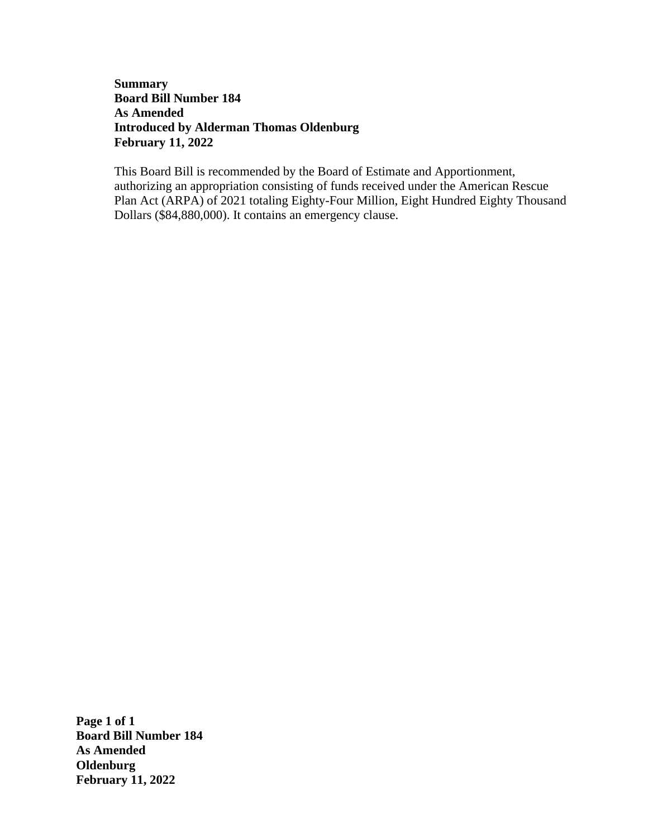### **Summary Board Bill Number 184 As Amended Introduced by Alderman Thomas Oldenburg February 11, 2022**

This Board Bill is recommended by the Board of Estimate and Apportionment, authorizing an appropriation consisting of funds received under the American Rescue Plan Act (ARPA) of 2021 totaling Eighty-Four Million, Eight Hundred Eighty Thousand Dollars (\$84,880,000). It contains an emergency clause.

**Page 1 of 1 Board Bill Number 184 As Amended Oldenburg February 11, 2022**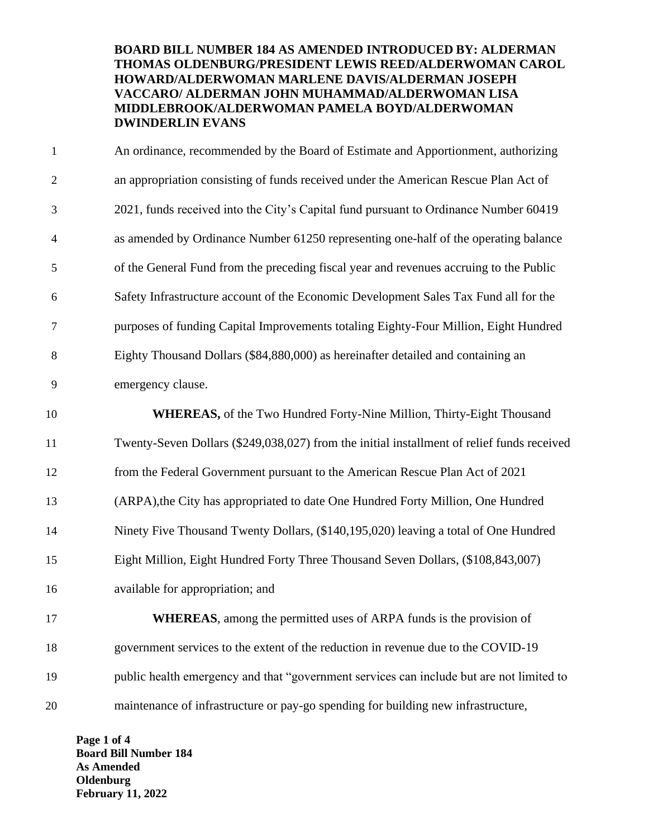### **BOARD BILL NUMBER 184 AS AMENDED INTRODUCED BY: ALDERMAN THOMAS OLDENBURG/PRESIDENT LEWIS REED/ALDERWOMAN CAROL HOWARD/ALDERWOMAN MARLENE DAVIS/ALDERMAN JOSEPH VACCARO/ ALDERMAN JOHN MUHAMMAD/ALDERWOMAN LISA MIDDLEBROOK/ALDERWOMAN PAMELA BOYD/ALDERWOMAN DWINDERLIN EVANS**

 An ordinance, recommended by the Board of Estimate and Apportionment, authorizing an appropriation consisting of funds received under the American Rescue Plan Act of 2021, funds received into the City's Capital fund pursuant to Ordinance Number 60419 as amended by Ordinance Number 61250 representing one-half of the operating balance of the General Fund from the preceding fiscal year and revenues accruing to the Public Safety Infrastructure account of the Economic Development Sales Tax Fund all for the purposes of funding Capital Improvements totaling Eighty-Four Million, Eight Hundred Eighty Thousand Dollars (\$84,880,000) as hereinafter detailed and containing an emergency clause. **WHEREAS,** of the Two Hundred Forty-Nine Million, Thirty-Eight Thousand Twenty-Seven Dollars (\$249,038,027) from the initial installment of relief funds received from the Federal Government pursuant to the American Rescue Plan Act of 2021 (ARPA),the City has appropriated to date One Hundred Forty Million, One Hundred Ninety Five Thousand Twenty Dollars, (\$140,195,020) leaving a total of One Hundred Eight Million, Eight Hundred Forty Three Thousand Seven Dollars, (\$108,843,007) available for appropriation; and **WHEREAS**, among the permitted uses of ARPA funds is the provision of government services to the extent of the reduction in revenue due to the COVID-19 public health emergency and that "government services can include but are not limited to maintenance of infrastructure or pay-go spending for building new infrastructure,

**Page 1 of 4 Board Bill Number 184 As Amended Oldenburg February 11, 2022**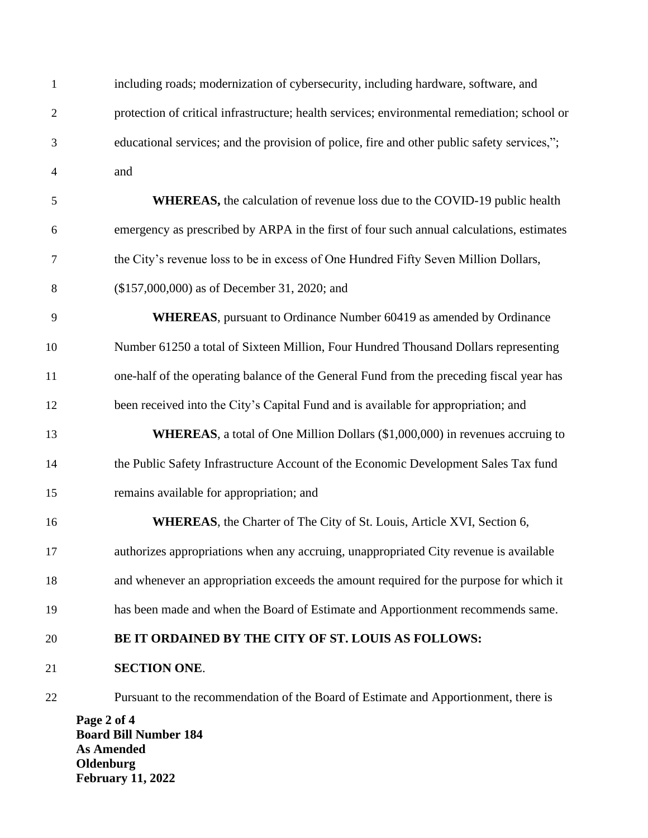| $\mathbf{1}$   | including roads; modernization of cybersecurity, including hardware, software, and           |  |  |  |  |
|----------------|----------------------------------------------------------------------------------------------|--|--|--|--|
| $\overline{2}$ | protection of critical infrastructure; health services; environmental remediation; school or |  |  |  |  |
| 3              | educational services; and the provision of police, fire and other public safety services,";  |  |  |  |  |
| $\overline{4}$ | and                                                                                          |  |  |  |  |
| 5              | <b>WHEREAS</b> , the calculation of revenue loss due to the COVID-19 public health           |  |  |  |  |
| 6              | emergency as prescribed by ARPA in the first of four such annual calculations, estimates     |  |  |  |  |
| 7              | the City's revenue loss to be in excess of One Hundred Fifty Seven Million Dollars,          |  |  |  |  |
| 8              | (\$157,000,000) as of December 31, 2020; and                                                 |  |  |  |  |
| 9              | <b>WHEREAS</b> , pursuant to Ordinance Number 60419 as amended by Ordinance                  |  |  |  |  |
| 10             | Number 61250 a total of Sixteen Million, Four Hundred Thousand Dollars representing          |  |  |  |  |
| 11             | one-half of the operating balance of the General Fund from the preceding fiscal year has     |  |  |  |  |
| 12             | been received into the City's Capital Fund and is available for appropriation; and           |  |  |  |  |
| 13             | <b>WHEREAS</b> , a total of One Million Dollars (\$1,000,000) in revenues accruing to        |  |  |  |  |
| 14             | the Public Safety Infrastructure Account of the Economic Development Sales Tax fund          |  |  |  |  |
| 15             | remains available for appropriation; and                                                     |  |  |  |  |
| 16             | <b>WHEREAS</b> , the Charter of The City of St. Louis, Article XVI, Section 6,               |  |  |  |  |
| 17             | authorizes appropriations when any accruing, unappropriated City revenue is available        |  |  |  |  |
| 18             | and whenever an appropriation exceeds the amount required for the purpose for which it       |  |  |  |  |
| 19             | has been made and when the Board of Estimate and Apportionment recommends same.              |  |  |  |  |
| 20             | BE IT ORDAINED BY THE CITY OF ST. LOUIS AS FOLLOWS:                                          |  |  |  |  |
| 21             | <b>SECTION ONE.</b>                                                                          |  |  |  |  |
| 22             | Pursuant to the recommendation of the Board of Estimate and Apportionment, there is          |  |  |  |  |
|                | Page 2 of 4<br><b>Board Bill Number 184</b><br><b>As Amended</b>                             |  |  |  |  |

**Oldenburg February 11, 2022**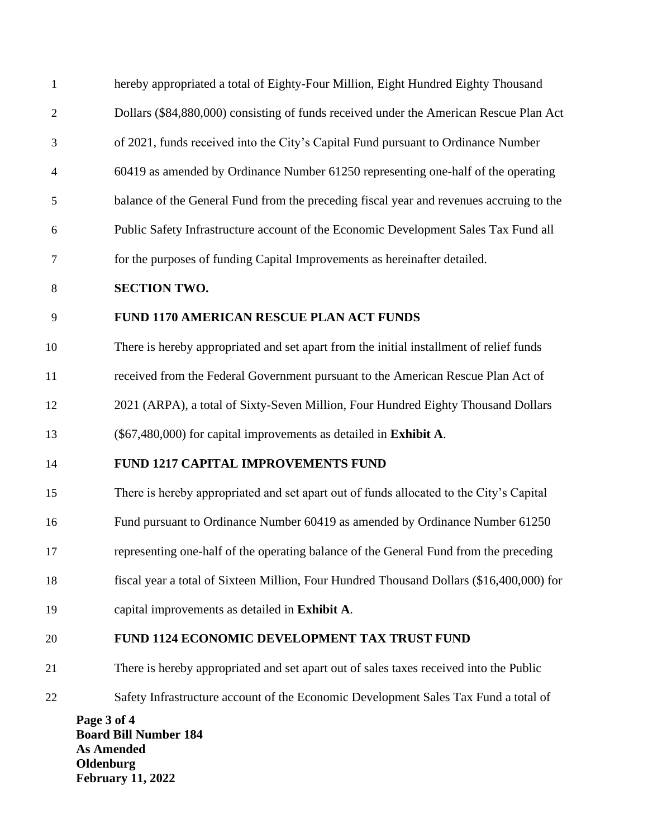| $\mathbf{1}$   | hereby appropriated a total of Eighty-Four Million, Eight Hundred Eighty Thousand        |
|----------------|------------------------------------------------------------------------------------------|
| $\overline{2}$ | Dollars (\$84,880,000) consisting of funds received under the American Rescue Plan Act   |
| 3              | of 2021, funds received into the City's Capital Fund pursuant to Ordinance Number        |
| $\overline{4}$ | 60419 as amended by Ordinance Number 61250 representing one-half of the operating        |
| 5              | balance of the General Fund from the preceding fiscal year and revenues accruing to the  |
| 6              | Public Safety Infrastructure account of the Economic Development Sales Tax Fund all      |
| $\tau$         | for the purposes of funding Capital Improvements as hereinafter detailed.                |
| 8              | <b>SECTION TWO.</b>                                                                      |
| 9              | <b>FUND 1170 AMERICAN RESCUE PLAN ACT FUNDS</b>                                          |
| 10             | There is hereby appropriated and set apart from the initial installment of relief funds  |
| 11             | received from the Federal Government pursuant to the American Rescue Plan Act of         |
| 12             | 2021 (ARPA), a total of Sixty-Seven Million, Four Hundred Eighty Thousand Dollars        |
| 13             | (\$67,480,000) for capital improvements as detailed in Exhibit A.                        |
| 14             | FUND 1217 CAPITAL IMPROVEMENTS FUND                                                      |
| 15             | There is hereby appropriated and set apart out of funds allocated to the City's Capital  |
| 16             | Fund pursuant to Ordinance Number 60419 as amended by Ordinance Number 61250             |
| 17             | representing one-half of the operating balance of the General Fund from the preceding    |
| 18             | fiscal year a total of Sixteen Million, Four Hundred Thousand Dollars (\$16,400,000) for |
| 19             | capital improvements as detailed in Exhibit A.                                           |
| 20             | FUND 1124 ECONOMIC DEVELOPMENT TAX TRUST FUND                                            |
| 21             | There is hereby appropriated and set apart out of sales taxes received into the Public   |
| 22             | Safety Infrastructure account of the Economic Development Sales Tax Fund a total of      |
|                | Page 3 of 4<br><b>Board Bill Number 184</b><br><b>As Amended</b><br>Oldenburg            |

**February 11, 2022**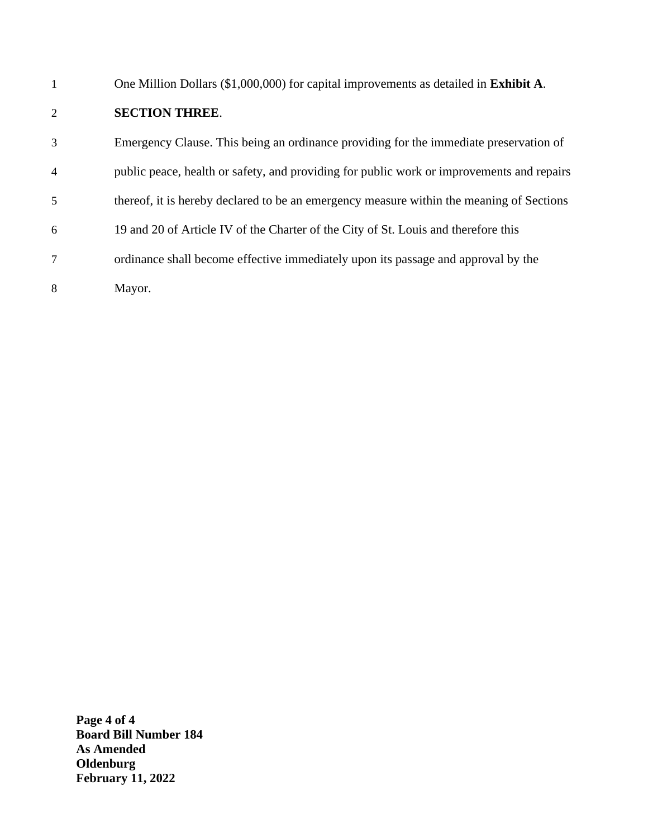| 1 | One Million Dollars (\$1,000,000) for capital improvements as detailed in Exhibit A.      |
|---|-------------------------------------------------------------------------------------------|
| 2 | <b>SECTION THREE.</b>                                                                     |
| 3 | Emergency Clause. This being an ordinance providing for the immediate preservation of     |
| 4 | public peace, health or safety, and providing for public work or improvements and repairs |
| 5 | thereof, it is hereby declared to be an emergency measure within the meaning of Sections  |
| 6 | 19 and 20 of Article IV of the Charter of the City of St. Louis and therefore this        |
|   | ordinance shall become effective immediately upon its passage and approval by the         |
| 8 | Mayor.                                                                                    |

**Page 4 of 4 Board Bill Number 184 As Amended Oldenburg February 11, 2022**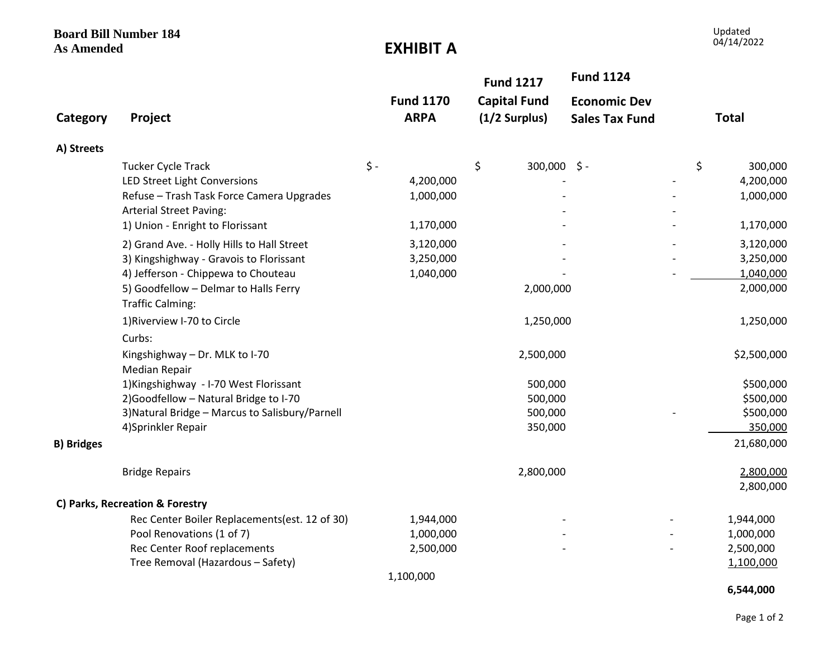**Board Bill Number 184** 

### **EXHIBIT A**

|                   |                                                                             |           |                                 | <b>Fund 1217</b>                     | <b>Fund 1124</b>                             |               |
|-------------------|-----------------------------------------------------------------------------|-----------|---------------------------------|--------------------------------------|----------------------------------------------|---------------|
| Category          | Project                                                                     |           | <b>Fund 1170</b><br><b>ARPA</b> | <b>Capital Fund</b><br>(1/2 Surplus) | <b>Economic Dev</b><br><b>Sales Tax Fund</b> | <b>Total</b>  |
| A) Streets        |                                                                             |           |                                 |                                      |                                              |               |
|                   | Tucker Cycle Track                                                          | $\zeta$ - |                                 | \$<br>$300,000$ \$ -                 |                                              | \$<br>300,000 |
|                   | LED Street Light Conversions                                                |           | 4,200,000                       |                                      |                                              | 4,200,000     |
|                   | Refuse - Trash Task Force Camera Upgrades<br><b>Arterial Street Paving:</b> |           | 1,000,000                       |                                      |                                              | 1,000,000     |
|                   | 1) Union - Enright to Florissant                                            |           | 1,170,000                       |                                      |                                              | 1,170,000     |
|                   | 2) Grand Ave. - Holly Hills to Hall Street                                  |           | 3,120,000                       |                                      |                                              | 3,120,000     |
|                   | 3) Kingshighway - Gravois to Florissant                                     |           | 3,250,000                       |                                      |                                              | 3,250,000     |
|                   | 4) Jefferson - Chippewa to Chouteau                                         |           | 1,040,000                       |                                      |                                              | 1,040,000     |
|                   | 5) Goodfellow - Delmar to Halls Ferry<br><b>Traffic Calming:</b>            |           |                                 | 2,000,000                            |                                              | 2,000,000     |
|                   | 1) Riverview I-70 to Circle                                                 |           |                                 | 1,250,000                            |                                              | 1,250,000     |
|                   | Curbs:                                                                      |           |                                 |                                      |                                              |               |
|                   | Kingshighway - Dr. MLK to I-70<br><b>Median Repair</b>                      |           |                                 | 2,500,000                            |                                              | \$2,500,000   |
|                   | 1) Kingshighway - I-70 West Florissant                                      |           |                                 | 500,000                              |                                              | \$500,000     |
|                   | 2) Goodfellow - Natural Bridge to I-70                                      |           |                                 | 500,000                              |                                              | \$500,000     |
|                   | 3) Natural Bridge - Marcus to Salisbury/Parnell                             |           |                                 | 500,000                              |                                              | \$500,000     |
|                   | 4)Sprinkler Repair                                                          |           |                                 | 350,000                              |                                              | 350,000       |
| <b>B) Bridges</b> |                                                                             |           |                                 |                                      |                                              | 21,680,000    |
|                   | <b>Bridge Repairs</b>                                                       |           |                                 | 2,800,000                            |                                              | 2,800,000     |
|                   |                                                                             |           |                                 |                                      |                                              | 2,800,000     |
|                   | C) Parks, Recreation & Forestry                                             |           |                                 |                                      |                                              |               |
|                   | Rec Center Boiler Replacements(est. 12 of 30)                               |           | 1,944,000                       |                                      |                                              | 1,944,000     |
|                   | Pool Renovations (1 of 7)                                                   |           | 1,000,000                       |                                      |                                              | 1,000,000     |
|                   | Rec Center Roof replacements                                                |           | 2,500,000                       |                                      |                                              | 2,500,000     |
|                   | Tree Removal (Hazardous - Safety)                                           |           |                                 |                                      |                                              | 1,100,000     |
|                   |                                                                             |           | 1,100,000                       |                                      |                                              |               |
|                   |                                                                             |           |                                 |                                      |                                              | 6,544,000     |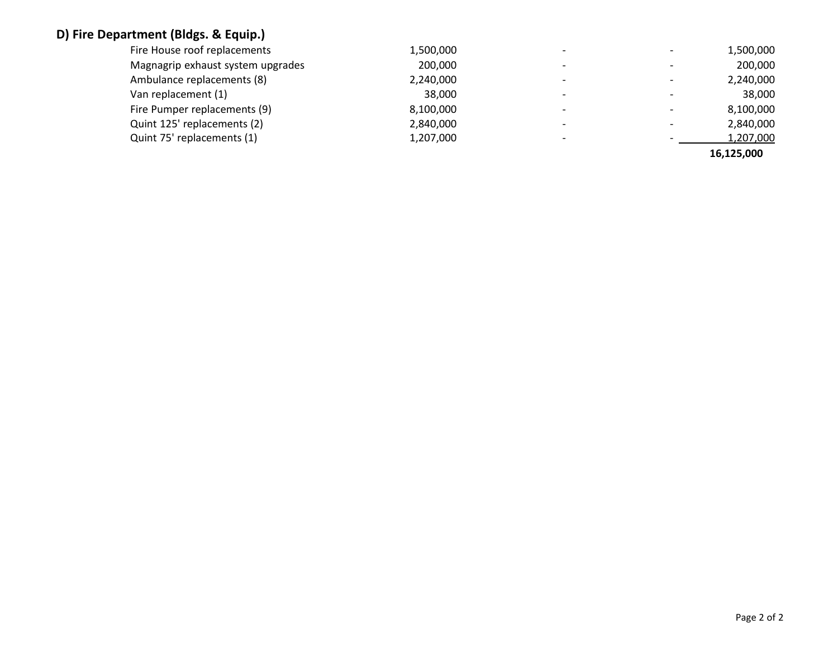# **D) Fire Department (Bldgs. & Equip.)**

|                                   |           |                          |                          | 16,125,000 |
|-----------------------------------|-----------|--------------------------|--------------------------|------------|
| Quint 75' replacements (1)        | 1,207,000 | $\overline{\phantom{0}}$ |                          | 1,207,000  |
| Quint 125' replacements (2)       | 2,840,000 | $\overline{\phantom{a}}$ |                          | 2,840,000  |
| Fire Pumper replacements (9)      | 8,100,000 | $\overline{\phantom{a}}$ |                          | 8,100,000  |
| Van replacement (1)               | 38,000    | $\overline{\phantom{0}}$ |                          | 38,000     |
| Ambulance replacements (8)        | 2,240,000 | $\overline{\phantom{a}}$ | $\overline{\phantom{0}}$ | 2,240,000  |
| Magnagrip exhaust system upgrades | 200,000   | $\overline{\phantom{0}}$ |                          | 200,000    |
| Fire House roof replacements      | 1,500,000 | $\overline{\phantom{a}}$ |                          | 1,500,000  |